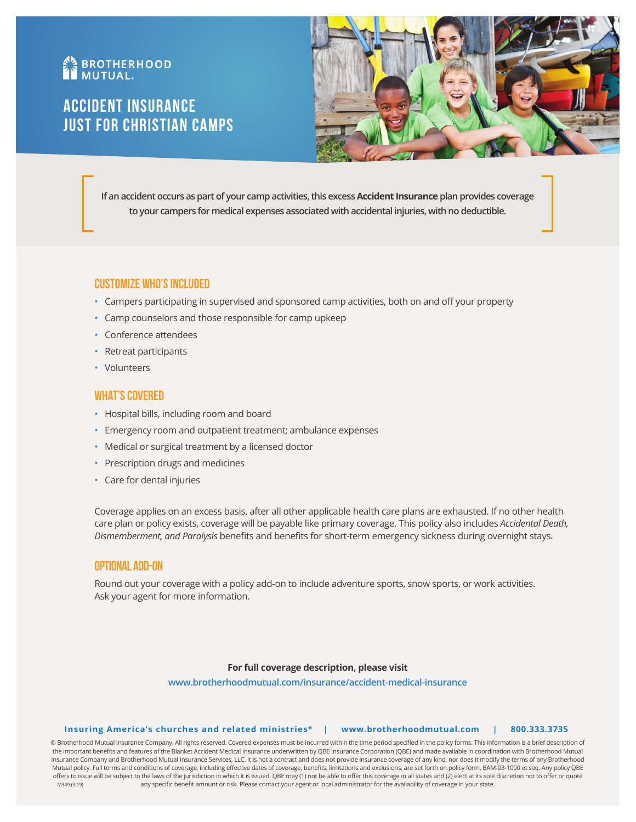# **AN BROTHERHOOD**

# Accident Insurance Just for Christian Camps



**If an accident occurs as part of your camp activities, this excess Accident Insurance plan provides coverage to your campers for medical expenses associated with accidental injuries, with no deductible.** 

# **Customize Who's Included**

- Campers participating in supervised and sponsored camp activities, both on and off your property
- Camp counselors and those responsible for camp upkeep
- Conference attendees
- Retreat participants
- Volunteers

## **What's Covered**

- Hospital bills, including room and board
- Emergency room and outpatient treatment; ambulance expenses
- Medical or surgical treatment by a licensed doctor
- Prescription drugs and medicines
- Care for dental injuries

Coverage applies on an excess basis, after all other applicable health care plans are exhausted. If no other health care plan or policy exists, coverage will be payable like primary coverage. This policy also includes *Accidental Death, Dismemberment, and Paralysis* benefits and benefits for short-term emergency sickness during overnight stays.

### **Optional Add-On**

Round out your coverage with a policy add-on to include adventure sports, snow sports, or work activities. Ask your agent for more information.

# **For full coverage description, please visit**

**www.brotherhoodmutual.com/insurance/accident-medical-insurance**

#### **Insuring America's churches and related ministries ® | www.brotherhoodmutual.com | 800.333.3735**

© Brotherhood Mutual Insurance Company. All rights reserved. Covered expenses must be incurred within the time period specified in the policy forms. This information is a brief description of the important benefits and features of the Blanket Accident Medical Insurance underwritten by QBE Insurance Corporation (QBE) and made available in coordination with Brotherhood Mutual Insurance Company and Brotherhood Mutual Insurance Services, LLC. It is not a contract and does not provide insurance coverage of any kind, nor does it modify the terms of any Brotherhood Mutual policy. Full terms and conditions of coverage, including effective dates of coverage, benefits, limitations and exclusions, are set forth on policy form, BAM-03-1000 et seq. Any policy QBE offers to issue will be subject to the laws of the jurisdiction in which it is issued. QBE may (1) not be able to offer this coverage in all states and (2) elect at its sole discretion not to offer or quote any specific benefit amount or risk. Please contact your agent or local administrator for the availability of coverage in your state. M349 (3.19)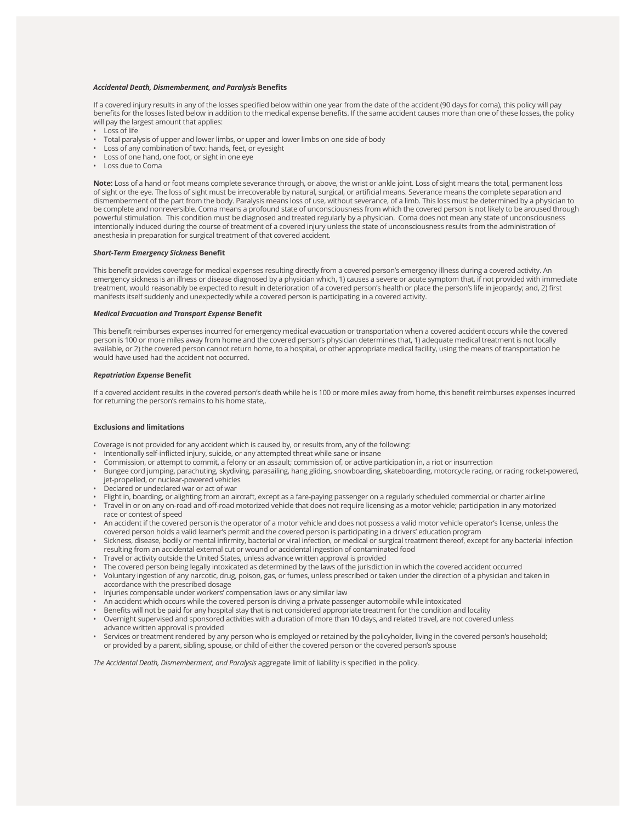#### *Accidental Death, Dismemberment, and Paralysis* **Benefits**

If a covered injury results in any of the losses specified below within one year from the date of the accident (90 days for coma), this policy will pay benefits for the losses listed below in addition to the medical expense benefits. If the same accident causes more than one of these losses, the policy will pay the largest amount that applies:

- Loss of life
- Total paralysis of upper and lower limbs, or upper and lower limbs on one side of body
- Loss of any combination of two: hands, feet, or eyesight
- Loss of one hand, one foot, or sight in one eye
- Loss due to Coma

**Note:** Loss of a hand or foot means complete severance through, or above, the wrist or ankle joint. Loss of sight means the total, permanent loss of sight or the eye. The loss of sight must be irrecoverable by natural, surgical, or artificial means. Severance means the complete separation and dismemberment of the part from the body. Paralysis means loss of use, without severance, of a limb. This loss must be determined by a physician to be complete and nonreversible. Coma means a profound state of unconsciousness from which the covered person is not likely to be aroused through powerful stimulation. This condition must be diagnosed and treated regularly by a physician. Coma does not mean any state of unconsciousness intentionally induced during the course of treatment of a covered injury unless the state of unconsciousness results from the administration of anesthesia in preparation for surgical treatment of that covered accident.

#### *Short-Term Emergency Sickness* **Benefit**

This benefit provides coverage for medical expenses resulting directly from a covered person's emergency illness during a covered activity. An emergency sickness is an illness or disease diagnosed by a physician which, 1) causes a severe or acute symptom that, if not provided with immediate treatment, would reasonably be expected to result in deterioration of a covered person's health or place the person's life in jeopardy; and, 2) first manifests itself suddenly and unexpectedly while a covered person is participating in a covered activity.

#### *Medical Evacuation and Transport Expense* **Benefit**

This benefit reimburses expenses incurred for emergency medical evacuation or transportation when a covered accident occurs while the covered person is 100 or more miles away from home and the covered person's physician determines that, 1) adequate medical treatment is not locally available, or 2) the covered person cannot return home, to a hospital, or other appropriate medical facility, using the means of transportation he would have used had the accident not occurred.

#### *Repatriation Expense* **Benefit**

If a covered accident results in the covered person's death while he is 100 or more miles away from home, this benefit reimburses expenses incurred for returning the person's remains to his home state,.

#### **Exclusions and limitations**

Coverage is not provided for any accident which is caused by, or results from, any of the following:

- Intentionally self-inflicted injury, suicide, or any attempted threat while sane or insane
- Commission, or attempt to commit, a felony or an assault; commission of, or active participation in, a riot or insurrection
- Bungee cord jumping, parachuting, skydiving, parasailing, hang gliding, snowboarding, skateboarding, motorcycle racing, or racing rocket-powered, jet-propelled, or nuclear-powered vehicles
- Declared or undeclared war or act of war
- Flight in, boarding, or alighting from an aircraft, except as a fare-paying passenger on a regularly scheduled commercial or charter airline
- Travel in or on any on-road and off-road motorized vehicle that does not require licensing as a motor vehicle; participation in any motorized race or contest of speed
- An accident if the covered person is the operator of a motor vehicle and does not possess a valid motor vehicle operator's license, unless the covered person holds a valid learner's permit and the covered person is participating in a drivers' education program
- Sickness, disease, bodily or mental infirmity, bacterial or viral infection, or medical or surgical treatment thereof, except for any bacterial infection resulting from an accidental external cut or wound or accidental ingestion of contaminated food
- Travel or activity outside the United States, unless advance written approval is provided
- The covered person being legally intoxicated as determined by the laws of the jurisdiction in which the covered accident occurred
- Voluntary ingestion of any narcotic, drug, poison, gas, or fumes, unless prescribed or taken under the direction of a physician and taken in accordance with the prescribed dosage
- Injuries compensable under workers' compensation laws or any similar law
- An accident which occurs while the covered person is driving a private passenger automobile while intoxicated
- Benefits will not be paid for any hospital stay that is not considered appropriate treatment for the condition and locality
- Overnight supervised and sponsored activities with a duration of more than 10 days, and related travel, are not covered unless advance written approval is provided
- Services or treatment rendered by any person who is employed or retained by the policyholder, living in the covered person's household; or provided by a parent, sibling, spouse, or child of either the covered person or the covered person's spouse

*The Accidental Death, Dismemberment, and Paralysis* aggregate limit of liability is specified in the policy.